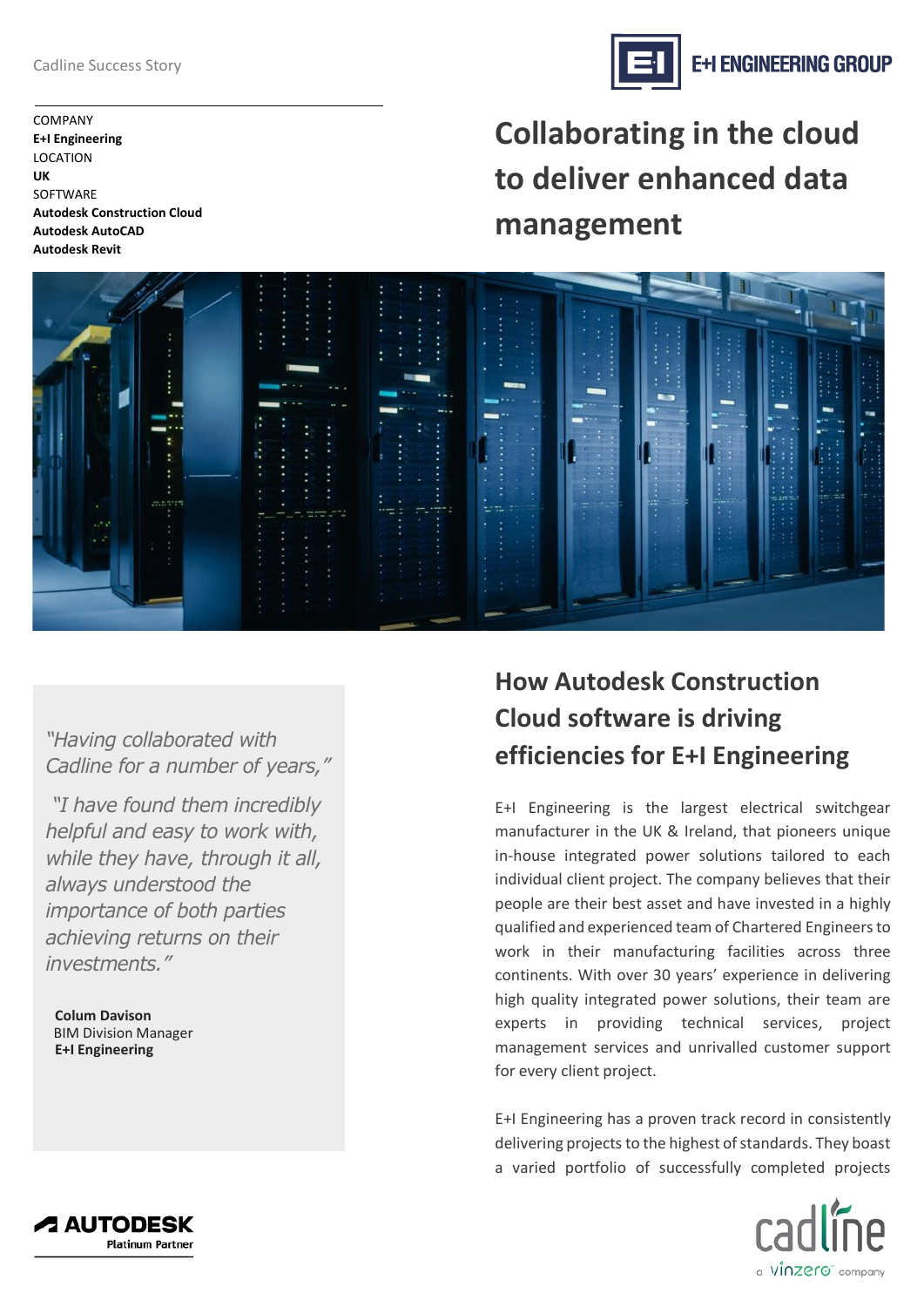COMPANY **E+I Engineering**  LOCATION **UK SOFTWARE Autodesk Construction Cloud Autodesk AutoCAD Autodesk Revit**

**Collaborating in the cloud to deliver enhanced data management**

*"Having collaborated with Cadline for a number of years,"* 

*"I have found them incredibly helpful and easy to work with, while they have, through it all, always understood the importance of both parties achieving returns on their investments."*

**Colum Davison** BIM Division Manager **E+I Engineering**

# **How Autodesk Construction Cloud software is driving efficiencies for E+I Engineering**

E+I Engineering is the largest electrical switchgear manufacturer in the UK & Ireland, that pioneers unique in-house integrated power solutions tailored to each individual client project. The company believes that their people are their best asset and have invested in a highly qualified and experienced team of Chartered Engineers to work in their manufacturing facilities across three continents. With over 30 years' experience in delivering high quality integrated power solutions, their team are experts in providing technical services, project management services and unrivalled customer support for every client project.

E+I Engineering has a proven track record in consistently delivering projects to the highest of standards. They boast a varied portfolio of successfully completed projects







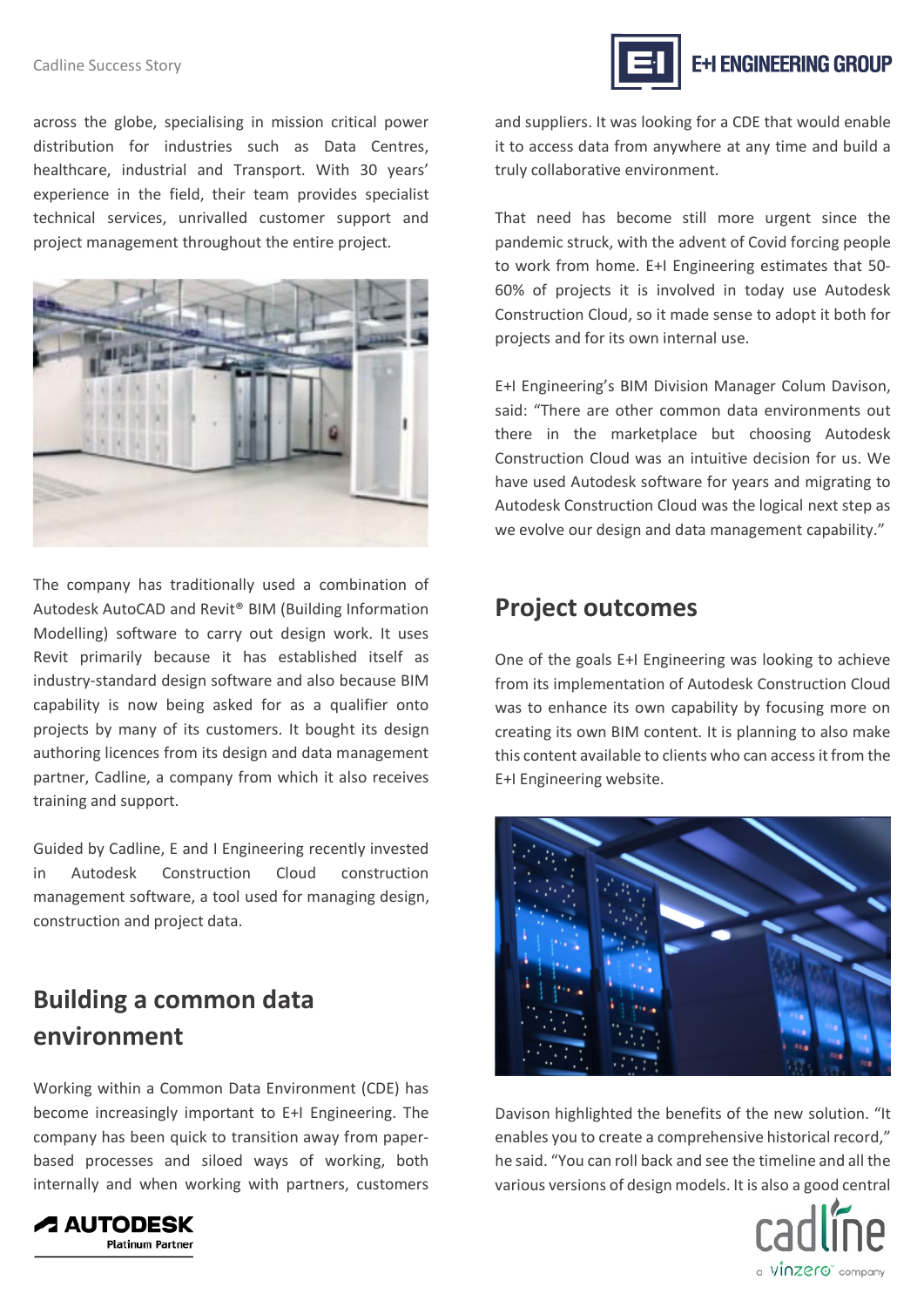## Cadline Success Story

across the globe, specialising in mission critical power distribution for industries such as Data Centres, healthcare, industrial and Transport. With 30 years' experience in the field, their team provides specialist technical services, unrivalled customer support and project management throughout the entire project.



The company has traditionally used a combination of Autodesk AutoCAD and Revit® BIM (Building Information Modelling) software to carry out design work. It uses Revit primarily because it has established itself as industry-standard design software and also because BIM capability is now being asked for as a qualifier onto projects by many of its customers. It bought its design authoring licences from its design and data management partner, Cadline, a company from which it also receives training and support.

Guided by Cadline, E and I Engineering recently invested in Autodesk Construction Cloud construction management software, a tool used for managing design, construction and project data.

## **Building a common data environment**

Working within a Common Data Environment (CDE) has become increasingly important to E+I Engineering. The company has been quick to transition away from paperbased processes and siloed ways of working, both internally and when working with partners, customers



and suppliers. It was looking for a CDE that would enable it to access data from anywhere at any time and build a truly collaborative environment.

That need has become still more urgent since the pandemic struck, with the advent of Covid forcing people to work from home. E+I Engineering estimates that 50- 60% of projects it is involved in today use Autodesk Construction Cloud, so it made sense to adopt it both for projects and for its own internal use.

E+I Engineering's BIM Division Manager Colum Davison, said: "There are other common data environments out there in the marketplace but choosing Autodesk Construction Cloud was an intuitive decision for us. We have used Autodesk software for years and migrating to Autodesk Construction Cloud was the logical next step as we evolve our design and data management capability."

## **Project outcomes**

One of the goals E+I Engineering was looking to achieve from its implementation of Autodesk Construction Cloud was to enhance its own capability by focusing more on creating its own BIM content. It is planning to also make this content available to clients who can access it from the E+I Engineering website.



Davison highlighted the benefits of the new solution. "It enables you to create a comprehensive historical record," he said. "You can roll back and see the timeline and all the various versions of design models. It is also a good central



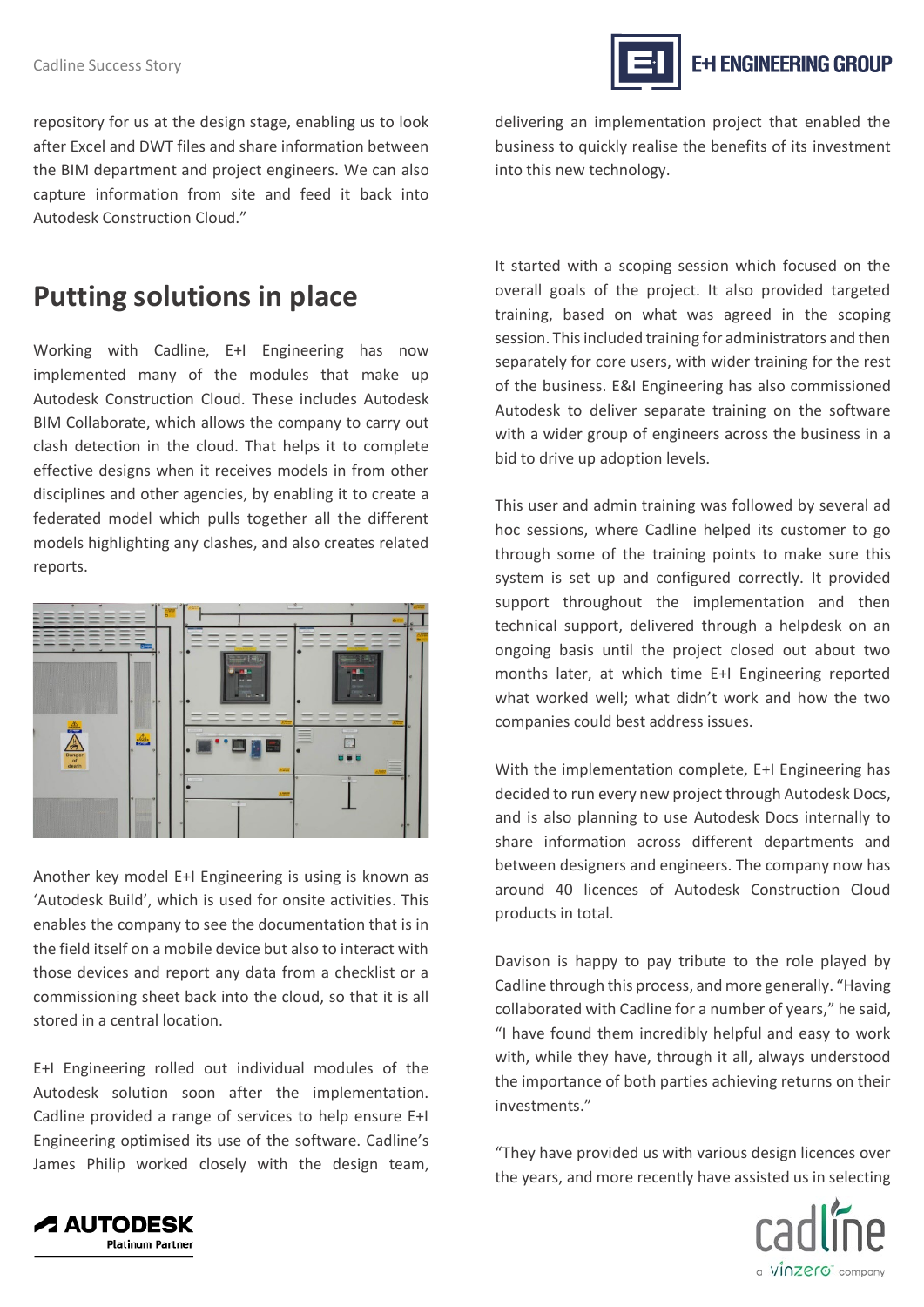## Cadline Success Story

**E+I ENGINEERING GROUP** 

repository for us at the design stage, enabling us to look after Excel and DWT files and share information between the BIM department and project engineers. We can also capture information from site and feed it back into Autodesk Construction Cloud."

## **Putting solutions in place**

Working with Cadline, E+I Engineering has now implemented many of the modules that make up Autodesk Construction Cloud. These includes Autodesk BIM Collaborate, which allows the company to carry out clash detection in the cloud. That helps it to complete effective designs when it receives models in from other disciplines and other agencies, by enabling it to create a federated model which pulls together all the different models highlighting any clashes, and also creates related reports.



Another key model E+I Engineering is using is known as 'Autodesk Build', which is used for onsite activities. This enables the company to see the documentation that is in the field itself on a mobile device but also to interact with those devices and report any data from a checklist or a commissioning sheet back into the cloud, so that it is all stored in a central location.

E+I Engineering rolled out individual modules of the Autodesk solution soon after the implementation. Cadline provided a range of services to help ensure E+I Engineering optimised its use of the software. Cadline's James Philip worked closely with the design team, delivering an implementation project that enabled the business to quickly realise the benefits of its investment into this new technology.

It started with a scoping session which focused on the overall goals of the project. It also provided targeted training, based on what was agreed in the scoping session. This included training for administrators and then separately for core users, with wider training for the rest of the business. E&I Engineering has also commissioned Autodesk to deliver separate training on the software with a wider group of engineers across the business in a bid to drive up adoption levels.

This user and admin training was followed by several ad hoc sessions, where Cadline helped its customer to go through some of the training points to make sure this system is set up and configured correctly. It provided support throughout the implementation and then technical support, delivered through a helpdesk on an ongoing basis until the project closed out about two months later, at which time E+I Engineering reported what worked well; what didn't work and how the two companies could best address issues.

With the implementation complete, E+I Engineering has decided to run every new project through Autodesk Docs, and is also planning to use Autodesk Docs internally to share information across different departments and between designers and engineers. The company now has around 40 licences of Autodesk Construction Cloud products in total.

Davison is happy to pay tribute to the role played by Cadline through this process, and more generally. "Having collaborated with Cadline for a number of years," he said, "I have found them incredibly helpful and easy to work with, while they have, through it all, always understood the importance of both parties achieving returns on their investments."

"They have provided us with various design licences over the years, and more recently have assisted us in selecting